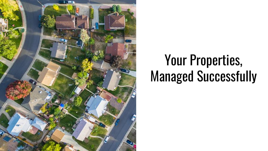

# Your Properties, Managed Successfully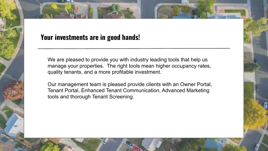## **Your investments are in good hands!**

We are pleased to provide you with industry leading tools that help us manage your properties. The right tools mean higher occupancy rates, quality tenants, and a more profitable investment.

Our management team is pleased provide clients with an Owner Portal, Tenant Portal, Enhanced Tenant Communication, Advanced Marketing tools and thorough Tenant Screening.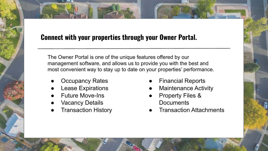# **Connect with your properties through your Owner Portal.**

The Owner Portal is one of the unique features offered by our management software, and allows us to provide you with the best and most convenient way to stay up to date on your properties' performance.

- **Occupancy Rates**
- **Lease Expirations**
- **Future Move-Ins**
- **Vacancy Details**
- **Transaction History**
- **Financial Reports**
- **Maintenance Activity**
- **Property Files & Documents**
- **Transaction Attachments**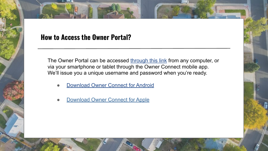### **How to Access the Owner Portal?**

The Owner Portal can be accessed [through this link](https://secure.rentecdirect.com/powners/login.php) from any computer, or via your smartphone or tablet through the Owner Connect mobile app. We'll issue you a unique username and password when you're ready.

- **[Download Owner Connect for Android](https://play.google.com/store/apps/details?id=com.rentecdirect.ownerapp&hl=en)**
- **[Download Owner Connect for Apple](https://itunes.apple.com/us/app/owner-connect-by-rentec-direct/id1302216434?mt=8)**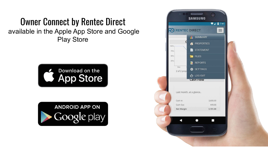# Owner Connect by Rentec Direct available in the Apple App Store and Google Play Store





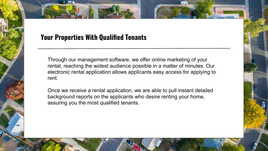## **Your Properties With Qualified Tenants**

Through our management software, we offer online marketing of your rental, reaching the widest audience possible in a matter of minutes. Our electronic rental application allows applicants easy access for applying to rent.

Once we receive a rental application, we are able to pull instant detailed background reports on the applicants who desire renting your home, assuring you the most qualified tenants.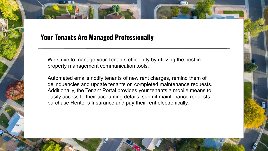## **Your Tenants Are Managed Professionally**

We strive to manage your Tenants efficiently by utilizing the best in property management communication tools.

Automated emails notify tenants of new rent charges, remind them of delinquencies and update tenants on completed maintenance requests. Additionally, the Tenant Portal provides your tenants a mobile means to easily access to their accounting details, submit maintenance requests, purchase Renter's Insurance and pay their rent electronically.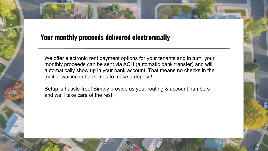# **Your monthly proceeds delivered electronically**

We offer electronic rent payment options for your tenants and in turn, your monthly proceeds can be sent via ACH (automatic bank transfer) and will automatically show up in your bank account. That means no checks in the mail or waiting in bank lines to make a deposit!

Setup is hassle-free! Simply provide us your routing & account numbers and we'll take care of the rest.